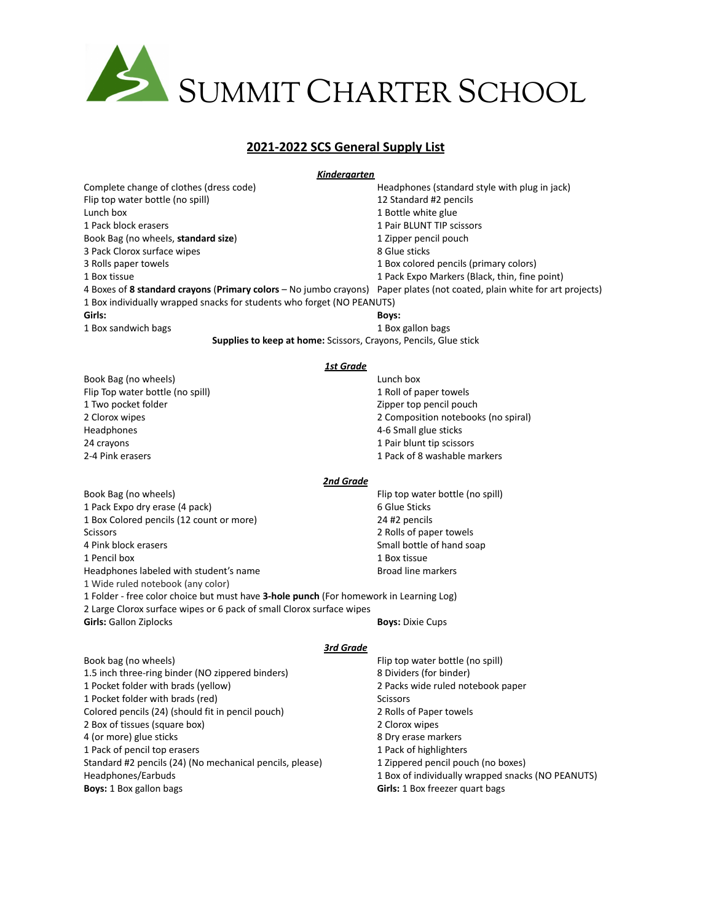SUMMIT CHARTER SCHOOL

# **2021-2022 SCS General Supply List**

#### *Kindergarten*

Complete change of clothes (dress code) and a Headphones (standard style with plug in jack) Flip top water bottle (no spill) and the set of the standard #2 pencils and the standard #2 pencils Lunch box 2.1 Bottle white glue control is a set of the state of the state of the state of the state glue control in the state of the state of the state of the state of the state of the state of the state of the state of t 1 Pack block erasers 1 Pair BLUNT TIP scissors Book Bag (no wheels, **standard size**) **1 1** Zipper pencil pouch 3 Pack Clorox surface wipes 8 Glue sticks 3 Rolls paper towels 1 Box colored pencils (primary colors) 1 Box tissue 1 Pack Expo Markers (Black, thin, fine point) 4 Boxes of **8 standard crayons** (**Primary colors** – No jumbo crayons) Paper plates (not coated, plain white for art projects) 1 Box individually wrapped snacks for students who forget (NO PEANUTS) **Girls: Boys:** 1 Box sandwich bags 1 Box gallon bags

**Supplies to keep at home:** Scissors, Crayons, Pencils, Glue stick

#### *1st Grade*

Book Bag (no wheels) and the state of the state of the state of the Lunch box control of the state of the state of the state of the state of the state of the state of the state of the state of the state of the state of the Flip Top water bottle (no spill) The state of the spin state of the state of paper towels and the state of the state of the state of the state of the state of the state of the state of the state of the state of the state o 1 Two pocket folder Zipper top pencil pouch Headphones 4-6 Small glue sticks 24 crayons 20 and 22 crayons 22 crayons 22 crayons 22 crayons 22 crayons 22 crayons 22 crayons 22 crayons 22 crayons 22 crayons 22 crayons 22 crayons 22 crayons 22 crayons 22 crayons 22 crayons 22 crayons 22 crayons 22 cra 2-4 Pink erasers 1 Pack of 8 washable markers 2-4 Pink erasers 1 Pack of 8 washable markers

2 Clorox wipes 2 Composition notebooks (no spiral)

#### *2nd Grade*

Book Bag (no wheels) **Flip top water bottle (no spill)** Flip top water bottle (no spill) 1 Pack Expo dry erase (4 pack) 6 Glue Sticks 1 Box Colored pencils (12 count or more) 24 #2 pencils Scissors 2 Rolls of paper towels 4 Pink block erasers The Small bottle of hand soap 1 Pencil box 1 Box tissue Headphones labeled with student's name Broad line markers 1 Wide ruled notebook (any color) 1 Folder - free color choice but must have **3-hole punch** (For homework in Learning Log) 2 Large Clorox surface wipes or 6 pack of small Clorox surface wipes **Girls:** Gallon Ziplocks **Boys:** Dixie Cups

*3rd Grade*

Book bag (no wheels) Flip top water bottle (no spill) 1.5 inch three-ring binder (NO zippered binders) 8 Dividers (for binder) 1 Pocket folder with brads (yellow) 2 Packs wide ruled notebook paper 1 Pocket folder with brads (red) Scissors Colored pencils (24) (should fit in pencil pouch) 2 Rolls of Paper towels 2 Box of tissues (square box) 2 Clorox wipes 4 (or more) glue sticks 8 Dry erase markers 1 Pack of pencil top erasers 1 Pack of highlighters 1 Pack of highlighters Standard #2 pencils (24) (No mechanical pencils, please) 1 Zippered pencil pouch (no boxes) Headphones/Earbuds 1 Box of individually wrapped snacks (NO PEANUTS) **Boys:** 1 Box gallon bags **Girls:** 1 Box freezer quart bags